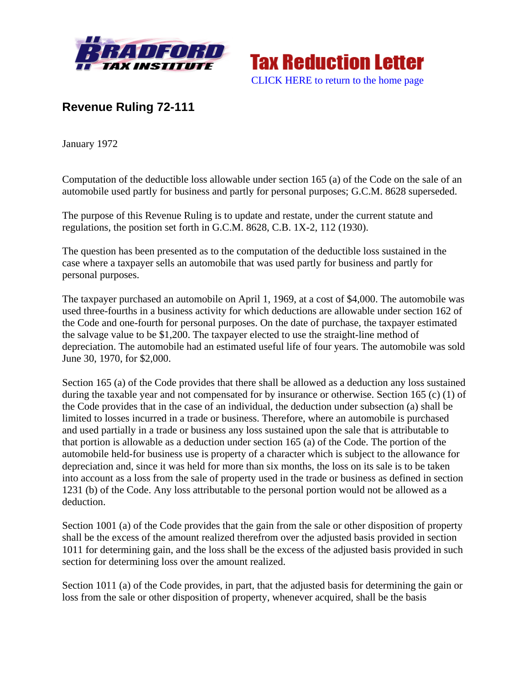



## **Revenue Ruling 72-111**

January 1972

Computation of the deductible loss allowable under section 165 (a) of the Code on the sale of an automobile used partly for business and partly for personal purposes; G.C.M. 8628 superseded.

The purpose of this Revenue Ruling is to update and restate, under the current statute and regulations, the position set forth in G.C.M. 8628, C.B. 1X-2, 112 (1930).

The question has been presented as to the computation of the deductible loss sustained in the case where a taxpayer sells an automobile that was used partly for business and partly for personal purposes.

The taxpayer purchased an automobile on April 1, 1969, at a cost of \$4,000. The automobile was used three-fourths in a business activity for which deductions are allowable under section 162 of the Code and one-fourth for personal purposes. On the date of purchase, the taxpayer estimated the salvage value to be \$1,200. The taxpayer elected to use the straight-line method of depreciation. The automobile had an estimated useful life of four years. The automobile was sold June 30, 1970, for \$2,000.

Section 165 (a) of the Code provides that there shall be allowed as a deduction any loss sustained during the taxable year and not compensated for by insurance or otherwise. Section 165 (c) (1) of the Code provides that in the case of an individual, the deduction under subsection (a) shall be limited to losses incurred in a trade or business. Therefore, where an automobile is purchased and used partially in a trade or business any loss sustained upon the sale that is attributable to that portion is allowable as a deduction under section 165 (a) of the Code. The portion of the automobile held-for business use is property of a character which is subject to the allowance for depreciation and, since it was held for more than six months, the loss on its sale is to be taken into account as a loss from the sale of property used in the trade or business as defined in section 1231 (b) of the Code. Any loss attributable to the personal portion would not be allowed as a deduction.

Section 1001 (a) of the Code provides that the gain from the sale or other disposition of property shall be the excess of the amount realized therefrom over the adjusted basis provided in section 1011 for determining gain, and the loss shall be the excess of the adjusted basis provided in such section for determining loss over the amount realized.

Section 1011 (a) of the Code provides, in part, that the adjusted basis for determining the gain or loss from the sale or other disposition of property, whenever acquired, shall be the basis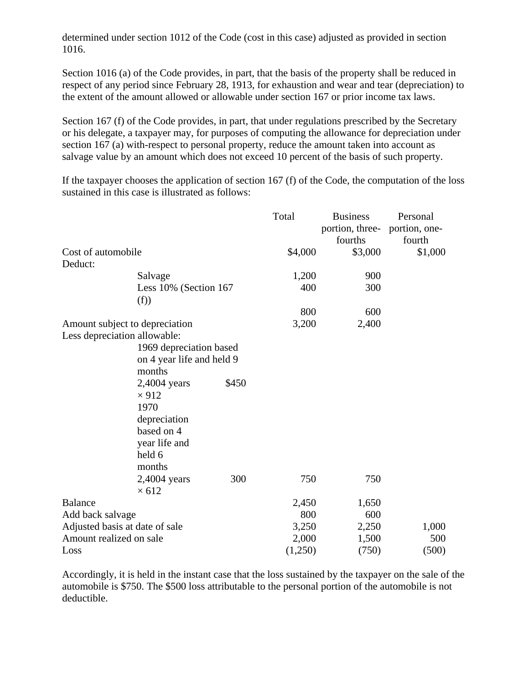determined under section 1012 of the Code (cost in this case) adjusted as provided in section 1016.

Section 1016 (a) of the Code provides, in part, that the basis of the property shall be reduced in respect of any period since February 28, 1913, for exhaustion and wear and tear (depreciation) to the extent of the amount allowed or allowable under section 167 or prior income tax laws.

Section 167 (f) of the Code provides, in part, that under regulations prescribed by the Secretary or his delegate, a taxpayer may, for purposes of computing the allowance for depreciation under section 167 (a) with-respect to personal property, reduce the amount taken into account as salvage value by an amount which does not exceed 10 percent of the basis of such property.

If the taxpayer chooses the application of section 167 (f) of the Code, the computation of the loss sustained in this case is illustrated as follows:

|                                |                         |         | Total   | <b>Business</b>               | Personal |
|--------------------------------|-------------------------|---------|---------|-------------------------------|----------|
|                                |                         |         |         | portion, three- portion, one- |          |
|                                |                         |         |         | fourths                       | fourth   |
| Cost of automobile             |                         | \$4,000 | \$3,000 | \$1,000                       |          |
| Deduct:                        |                         |         |         |                               |          |
|                                | Salvage                 |         | 1,200   | 900                           |          |
|                                | Less 10% (Section 167   |         | 400     | 300                           |          |
|                                | (f))                    |         |         |                               |          |
|                                |                         |         | 800     | 600                           |          |
| Amount subject to depreciation |                         |         | 3,200   | 2,400                         |          |
| Less depreciation allowable:   |                         |         |         |                               |          |
|                                | 1969 depreciation based |         |         |                               |          |
| on 4 year life and held 9      |                         |         |         |                               |          |
|                                | months                  |         |         |                               |          |
|                                | 2,4004 years            | \$450   |         |                               |          |
|                                | $\times$ 912            |         |         |                               |          |
|                                | 1970                    |         |         |                               |          |
|                                | depreciation            |         |         |                               |          |
|                                | based on 4              |         |         |                               |          |
|                                | year life and           |         |         |                               |          |
|                                | held 6                  |         |         |                               |          |
|                                | months                  |         |         |                               |          |
|                                | 2,4004 years            | 300     | 750     | 750                           |          |
|                                | $\times 612$            |         |         |                               |          |
| <b>Balance</b>                 |                         |         | 2,450   | 1,650                         |          |
| Add back salvage               |                         |         | 800     | 600                           |          |
| Adjusted basis at date of sale |                         |         | 3,250   | 2,250                         | 1,000    |
| Amount realized on sale        |                         |         | 2,000   | 1,500                         | 500      |
| Loss                           |                         |         | (1,250) | (750)                         | (500)    |

Accordingly, it is held in the instant case that the loss sustained by the taxpayer on the sale of the automobile is \$750. The \$500 loss attributable to the personal portion of the automobile is not deductible.